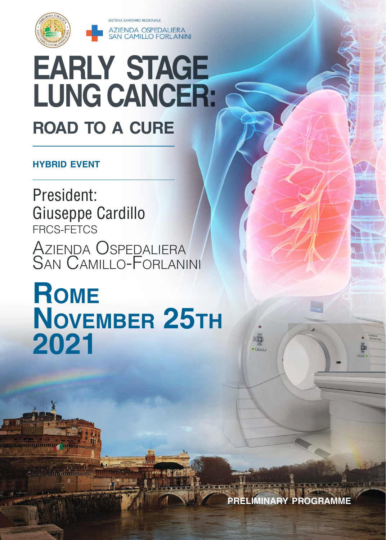



# **EARLY STAGE LUNG CANCER: road to a cure**

#### **hybrid event**

**COMPOSITION INTERNATIONAL** 

President: Giuseppe Cardillo FRCS-FETCS Azienda Ospedalier San Camillo-Forlanini

# **Rome November 25th 2021**

**preliminary programme**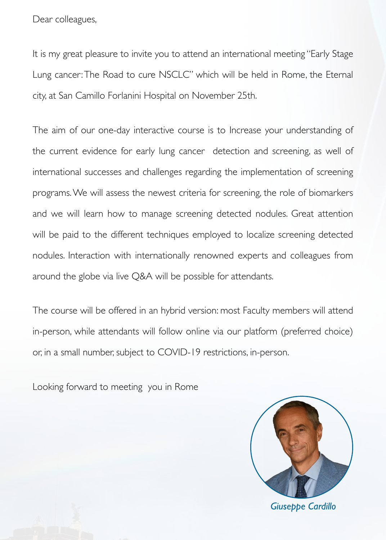Dear colleagues,

It is my great pleasure to invite you to attend an international meeting "Early Stage Lung cancer: The Road to cure NSCLC" which will be held in Rome, the Eternal city, at San Camillo Forlanini Hospital on November 25th.

The aim of our one-day interactive course is to Increase your understanding of the current evidence for early lung cancer detection and screening, as well of international successes and challenges regarding the implementation of screening programs. We will assess the newest criteria for screening, the role of biomarkers and we will learn how to manage screening detected nodules. Great attention will be paid to the different techniques employed to localize screening detected nodules. Interaction with internationally renowned experts and colleagues from around the globe via live Q&A will be possible for attendants.

The course will be offered in an hybrid version: most Faculty members will attend in-person, while attendants will follow online via our platform (preferred choice) or, in a small number, subject to COVID-19 restrictions, in-person.

Looking forward to meeting you in Rome

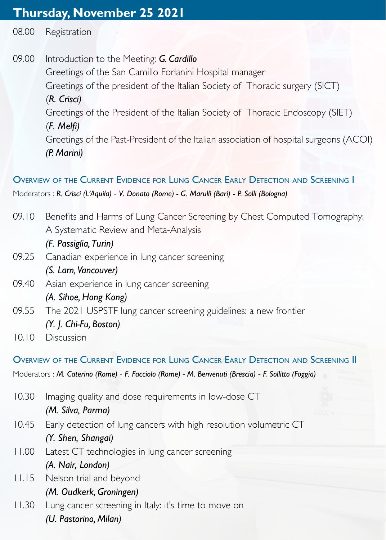# **Thursday, November 25 2021**

08.00 Registration

09.00 Introduction to the Meeting: *G. Cardillo* Greetings of the San Camillo Forlanini Hospital manager Greetings of the president of the Italian Society of Thoracic surgery (SICT) (*R. Crisci)* Greetings of the President of the Italian Society of Thoracic Endoscopy (SIET) (*F. Melfi)* Greetings of the Past-President of the Italian association of hospital surgeons (ACOI) *(P. Marini)*

# Overview of the Current Evidence for Lung Cancer Early Detection and Screening I

Moderators : *R. Crisci (L'Aquila)* - *V. Donato (Rome) - G. Marulli (Bari)* - *P. Solli (Bologna)*

- 09.10 Benefits and Harms of Lung Cancer Screening by Chest Computed Tomography: A Systematic Review and Meta-Analysis
	- *(F. Passiglia, Turin)*
- 09.25 Canadian experience in lung cancer screening *(S. Lam, Vancouver)*
- 09.40 Asian experience in lung cancer screening

### *(A. Sihoe, Hong Kong)*

- 09.55 The 2021 USPSTF lung cancer screening guidelines: a new frontier *(Y. J. Chi-Fu, Boston)*
- 10.10 Discussion

### Overview of the Current Evidence for Lung Cancer Early Detection and Screening II

Moderators : *M. Caterino (Rome)* - *F. Facciolo (Rome) - M. Benvenuti (Brescia)* - *F. Sollitto (Foggia)*

- 10.30 Imaging quality and dose requirements in low-dose CT *(M. Silva, Parma)* 10.45 Early detection of lung cancers with high resolution volumetric CT *(Y. Shen, Shangai)*
- 11.00 Latest CT technologies in lung cancer screening *(A. Nair, London)*
- 11.15 Nelson trial and beyond *(M. Oudkerk, Groningen)*
- 11.30 Lung cancer screening in Italy: it's time to move on *(U. Pastorino, Milan)*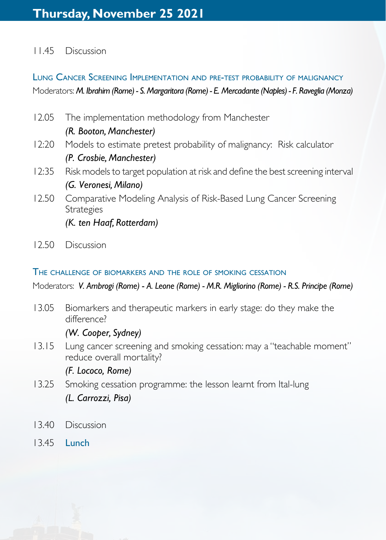#### 11.45 Discussion

## Lung Cancer Screening Implementation and pre-test probability of malignancy Moderators: *M. Ibrahim (Rome) - S. Margaritora (Rome) - E. Mercadante (Naples) - F. Raveglia (Monza)*

- 12.05 The implementation methodology from Manchester *(R. Booton, Manchester)* 12:20 Models to estimate pretest probability of malignancy: Risk calculator *(P. Crosbie, Manchester)* 12:35 Risk models to target population at risk and define the best screening interval *(G. Veronesi, Milano)*
- 12.50 Comparative Modeling Analysis of Risk-Based Lung Cancer Screening **Strategies**

*(K. ten Haaf, Rotterdam)*

12.50 Discussion

#### The challenge of biomarkers and the role of smoking cessation

Moderators: *V. Ambrogi (Rome)* - *A. Leone (Rome) - M.R. Migliorino (Rome) - R.S. Principe (Rome)*

13.05 Biomarkers and therapeutic markers in early stage: do they make the difference?

#### *(W. Cooper, Sydney)*

13.15 Lung cancer screening and smoking cessation: may a "teachable moment" reduce overall mortality?

*(F. Lococo, Rome)*

- 13.25 Smoking cessation programme: the lesson learnt from Ital-lung *(L. Carrozzi, Pisa)*
- 13.40 Discussion
- 13.45 Lunch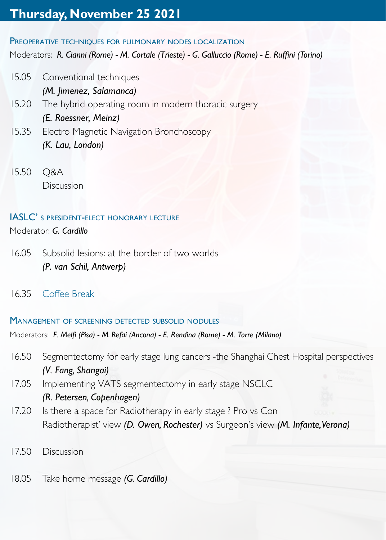# **Thursday, November 25 2021**

#### PREOPERATIVE TECHNIQUES FOR PULMONARY NODES LOCALIZATION

Moderators: *R. Cianni (Rome) - M. Cortale (Trieste) - G. Galluccio (Rome) - E. Ruffini (Torino)*

- 15.05 Conventional techniques *(M. Jimenez, Salamanca)*
- 15.20 The hybrid operating room in modern thoracic surgery *(E. Roessner, Meinz)*
- 15.35 Electro Magnetic Navigation Bronchoscopy *(K. Lau, London)*
- 15.50 Q&A Discussion

#### IASLC' s president-elect honorary lecture

Moderator: *G. Cardillo*

- 16.05 Subsolid lesions: at the border of two worlds *(P. van Schil, Antwerp)*
- 16.35 Coffee Break

#### Management of screening detected subsolid nodules

Moderators: *F. Melfi (Pisa) - M. Refai (Ancona) - E. Rendina (Rome) - M. Torre (Milano)*

- 16.50 Segmentectomy for early stage lung cancers -the Shanghai Chest Hospital perspectives *(V. Fang, Shangai)*
- 17.05 Implementing VATS segmentectomy in early stage NSCLC *(R. Petersen, Copenhagen)*
- 17.20 Is there a space for Radiotherapy in early stage? Pro vs Con Radiotherapist' view *(D. Owen, Rochester)* vs Surgeon's view *(M. Infante, Verona)*
- 17.50 Discussion
- 18.05 Take home message *(G. Cardillo)*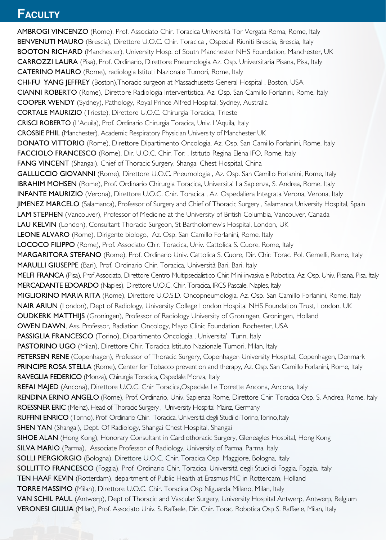# **Faculty Faculty**

AMBROGI VINCENZO (Rome), Prof. Associato Chir. Toracica Università Tor Vergata Roma, Rome, Italy BENVENUTI MAURO (Brescia), Direttore U.O.C. Chir. Toracica, Ospedali Riuniti Brescia, Brescia, Italy BOOTON RICHARD (Manchester), University Hosp. of South Manchester NHS Foundation, Manchester, UK CARROZZI LAURA (Pisa), Prof. Ordinario, Direttore Pneumologia Az. Osp. Universitaria Pisana, Pisa, Italy CATERINO MAURO (Rome), radiologia Istituti Nazionale Tumori, Rome, Italy CHI-FU YANG JEFFREY (Boston),Thoracic surgeon at Massachusetts General Hospital , Boston, USA CIANNI ROBERTO (Rome), Direttore Radiologia Interventistica, Az. Osp. San Camillo Forlanini, Rome, Italy COOPER WENDY (Sydney), Pathology, Royal Prince Alfred Hospital, Sydney, Australia CORTALE MAURIZIO (Trieste), Direttore U.O.C. Chirurgia Toracica, Trieste CRISCI ROBERTO (L'Aquila), Prof. Ordinario Chirurgia Toracica, Univ. L'Aquila, Italy CROSBIE PHIL (Manchester), Academic Respiratory Physician University of Manchester UK DONATO VITTORIO (Rome), Direttore Dipartimento Oncologia, Az. Osp. San Camillo Forlanini, Rome, Italy FACCIOLO FRANCESCO (Rome), Dir. U.O.C. Chir. Tor. , Istituto Regina Elena IFO, Rome, Italy FANG VINCENT (Shangai), Chief of Thoracic Surgery, Shangai Chest Hospital, China GALLUCCIO GIOVANNI (Rome), Direttore U.O.C. Pneumologia , Az. Osp. San Camillo Forlanini, Rome, Italy IBRAHIM MOHSEN (Rome), Prof. Ordinario Chirurgia Toracica, Universita' La Sapienza, S. Andrea, Rome, Italy INFANTE MAURIZIO (Verona), Direttore U.O.C. Chir. Toracica , Az. Ospedaliera Integrata Verona, Verona, Italy JIMENEZ MARCELO (Salamanca), Professor of Surgery and Chief of Thoracic Surgery , Salamanca University Hospital, Spain LAM STEPHEN (Vancouver), Professor of Medicine at the University of British Columbia, Vancouver, Canada LAU KELVIN (London), Consultant Thoracic Surgeon, St Bartholomew's Hospital, London, UK LEONE ALVARO (Rome), Dirigente biologo, Az. Osp. San Camillo Forlanini, Rome, Italy LOCOCO FILIPPO (Rome), Prof. Associato Chir. Toracica, Univ. Cattolica S. Cuore, Rome, Italy MARGARITORA STEFANO (Rome), Prof. Ordinario Univ. Cattolica S. Cuore, Dir. Chir. Torac. Pol. Gemelli, Rome, Italy MARULLI GIUSEPPE (Bari), Prof. Ordinario Chir. Toracica, Università Bari, Bari, Italy MELFI FRANCA (Pisa), Prof Associato, Direttore Centro Multipsecialistico Chir. Mini-invasiva e Robotica, Az. Osp. Univ. Pisana, Pisa, Italy MERCADANTE EDOARDO (Naples), Direttore U.O.C. Chir. Toracica, IRCS Pascale, Naples, Italy MIGLIORINO MARIA RITA (Rome), Direttore U.O.S.D. Oncopneumologia, Az. Osp. San Camillo Forlanini, Rome, Italy NAIR ARIUN (London), Dept of Radiology, University College London Hospital NHS Foundation Trust, London, UK OUDKERK MATTHIJS (Groningen), Professor of Radiology University of Groningen, Groningen, Holland OWEN DAWN, Ass. Professor, Radiation Oncology, Mayo Clinic Foundation, Rochester, USA PASSIGLIA FRANCESCO (Torino), Dipartimento Oncologia, Universita' Turin, Italy PASTORINO UGO (Milan), Direttore Chir. Toracica Istituto Nazionale Tumori, Milan, Italy PETERSEN RENE (Copenhagen), Professor of Thoracic Surgery, Copenhagen University Hospital, Copenhagen, Denmark PRINCIPE ROSA STELLA (Rome), Center for Tobacco prevention and therapy, Az. Osp. San Camillo Forlanini, Rome, Italy RAVEGLIA FEDERICO (Monza), Chirurgia Toracica, Ospedale Monza, Italy REFAI MAJED (Ancona), Direttore U.O.C. Chir Toracica, Ospedale Le Torrette Ancona, Ancona, Italy RENDINA ERINO ANGELO (Rome), Prof. Ordinario, Univ. Sapienza Rome, Direttore Chir. Toracica Osp. S. Andrea, Rome, Italy ROESSNER ERIC (Meinz), Head of Thoracic Surgery , University Hospital Mainz, Germany RUFFINI ENRICO (Torino), Prof. Ordinario Chir. Toracica, Università degli Studi di Torino, Torino, Italy SHEN YAN (Shangai), Dept. Of Radiology, Shangai Chest Hospital, Shangai SIHOE ALAN (Hong Kong), Honorary Consultant in Cardiothoracic Surgery, Gleneagles Hospital, Hong Kong SILVA MARIO (Parma), Associate Professor of Radiology, University of Parma, Parma, Italy SOLLI PIERGIORGIO (Bologna), Direttore U.O.C. Chir. Toracica Osp. Maggiore, Bologna, Italy SOLLITTO FRANCESCO (Foggia), Prof. Ordinario Chir. Toracica, Università degli Studi di Foggia, Foggia, Italy TEN HAAF KEVIN (Rotterdam), department of Public Health at Erasmus MC in Rotterdam, Holland TORRE MASSIMO (Milan), Direttore U.O.C. Chir. Toracica Osp Niguarda Milano, Milan, Italy VAN SCHIL PAUL (Antwerp), Dept of Thoracic and Vascular Surgery, University Hospital Antwerp, Antwerp, Belgium VERONESI GIULIA (Milan), Prof. Associato Univ. S. Raffaele, Dir. Chir. Torac. Robotica Osp S. Raffaele, Milan, Italy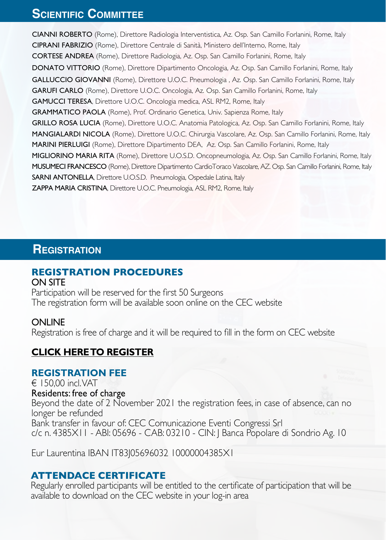# **Scientific Committee**

CIANNI ROBERTO (Rome), Direttore Radiologia Interventistica, Az. Osp. San Camillo Forlanini, Rome, Italy CIPRANI FABRIZIO (Rome), Direttore Centrale di Sanità, Ministero dell'Interno, Rome, Italy CORTESE ANDREA (Rome), Direttore Radiologia, Az. Osp. San Camillo Forlanini, Rome, Italy DONATO VITTORIO (Rome), Direttore Dipartimento Oncologia, Az. Osp. San Camillo Forlanini, Rome, Italy GALLUCCIO GIOVANNI (Rome), Direttore U.O.C. Pneumologia , Az. Osp. San Camillo Forlanini, Rome, Italy GARUFI CARLO (Rome), Direttore U.O.C. Oncologia, Az. Osp. San Camillo Forlanini, Rome, Italy GAMUCCI TERESA, Direttore U.O.C. Oncologia medica, ASL RM2, Rome, Italy GRAMMATICO PAOLA (Rome), Prof. Ordinario Genetica, Univ. Sapienza Rome, Italy GRILLO ROSA LUCIA (Rome), Direttore U.O.C. Anatomia Patologica, Az. Osp. San Camillo Forlanini, Rome, Italy MANGIALARDI NICOLA (Rome), Direttore U.O.C. Chirurgia Vascolare, Az. Osp. San Camillo Forlanini, Rome, Italy MARINI PIERLUIGI (Rome), Direttore Dipartimento DEA, Az. Osp. San Camillo Forlanini, Rome, Italy MIGLIORINO MARIA RITA (Rome), Direttore U.O.S.D. Oncopneumologia, Az. Osp. San Camillo Forlanini, Rome, Italy MUSUMECI FRANCESCO (Rome), Direttore Dipartimento CardioToraco Vascolare, AZ. Osp. San Camillo Forlanini, Rome, Italy SARNI ANTONELLA, Direttore U.O.S.D. Pneumologia, Ospedale Latina, Italy ZAPPA MARIA CRISTINA, Direttore U.O.C. Pneumologia, ASL RM2, Rome, Italy

# **Registration**

# **REGISTRATION PROCEDURES**

#### ON SITE

Participation will be reserved for the first 50 Surgeons The registration form will be available soon online on the CEC website

#### **ONLINE**

Registration is free of charge and it will be required to fill in the form on CEC website

#### **[CLICK HERE TO REGISTER](https://cecongressi.it/eventi/early-stage-lung-cancer-a-road-to-a-cure-25-novembre-2021/)**

#### **REGISTRATION FEE**

 $\epsilon$  150.00 incl. VAT Residents: free of charge Beyond the date of 2 November 2021 the registration fees, in case of absence, can no longer be refunded Bank transfer in favour of: CEC Comunicazione Eventi Congressi Srl c/c n. 4385X11 - ABI: 05696 - CAB: 03210 - CIN: J Banca Popolare di Sondrio Ag. 10

Eur Laurentina IBAN IT83J05696032 10000004385X1

#### **ATTENDACE CERTIFICATE**

Regularly enrolled participants will be entitled to the certificate of participation that will be available to download on the CEC website in your log-in area